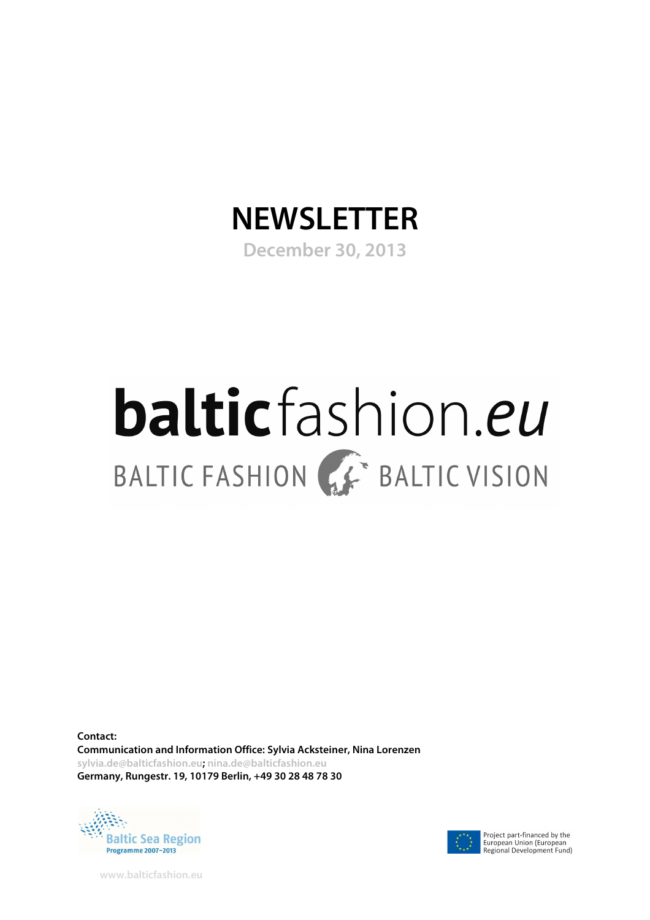## **NEWSLETTER**

**December 30, 2013** 

# balticfashion.eu BALTIC FASHION AF BALTIC VISION

**Contact: Communication and Information Office: Sylvia Acksteiner, Nina Lorenzen sylvia.de@balticfashion.eu; nina.de@balticfashion.eu Germany, Rungestr. 19, 10179 Berlin, +49 30 28 48 78 30** 



 **www.balticfashion.eu**



Project part-financed by the European Union (European<br>Regional Development Fund)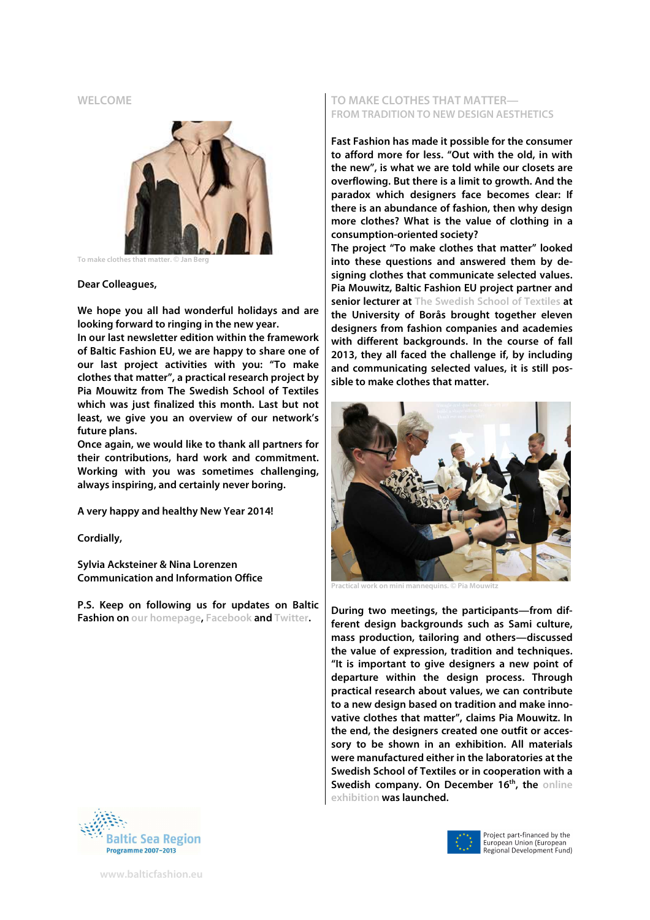**WELCOME** 



**To make clothes that matter.** © **Jan Berg** 

#### **Dear Colleagues,**

**We hope you all had wonderful holidays and are looking forward to ringing in the new year.** 

**In our last newsletter edition within the framework of Baltic Fashion EU, we are happy to share one of our last project activities with you: "To make clothes that matter", a practical research project by Pia Mouwitz from The Swedish School of Textiles which was just finalized this month. Last but not least, we give you an overview of our network's future plans.** 

**Once again, we would like to thank all partners for their contributions, hard work and commitment. Working with you was sometimes challenging, always inspiring, and certainly never boring.** 

**A very happy and healthy New Year 2014!** 

**Cordially,** 

**Sylvia Acksteiner & Nina Lorenzen Communication and Information Office** 

**P.S. Keep on following us for updates on Baltic Fashion on our homepage, Facebook and Twitter.** 

#### **TO MAKE CLOTHES THAT MATTER— FROM TRADITION TO NEW DESIGN AESTHETICS**

**Fast Fashion has made it possible for the consumer to afford more for less. "Out with the old, in with the new", is what we are told while our closets are overflowing. But there is a limit to growth. And the paradox which designers face becomes clear: If there is an abundance of fashion, then why design more clothes? What is the value of clothing in a consumption-oriented society?** 

**The project "To make clothes that matter" looked into these questions and answered them by designing clothes that communicate selected values. Pia Mouwitz, Baltic Fashion EU project partner and senior lecturer at The Swedish School of Textiles at the University of Borås brought together eleven designers from fashion companies and academies with different backgrounds. In the course of fall 2013, they all faced the challenge if, by including and communicating selected values, it is still possible to make clothes that matter.** 



**Practical work on mini mannequins.** © **Pia Mouwitz** 

**During two meetings, the participants—from different design backgrounds such as Sami culture, mass production, tailoring and others—discussed the value of expression, tradition and techniques. "It is important to give designers a new point of departure within the design process. Through practical research about values, we can contribute to a new design based on tradition and make innovative clothes that matter", claims Pia Mouwitz. In the end, the designers created one outfit or accessory to be shown in an exhibition. All materials were manufactured either in the laboratories at the Swedish School of Textiles or in cooperation with a Swedish company. On December 16th, the online exhibition was launched.** 





Project part-financed by the European Union (European<br>Regional Development Fund)